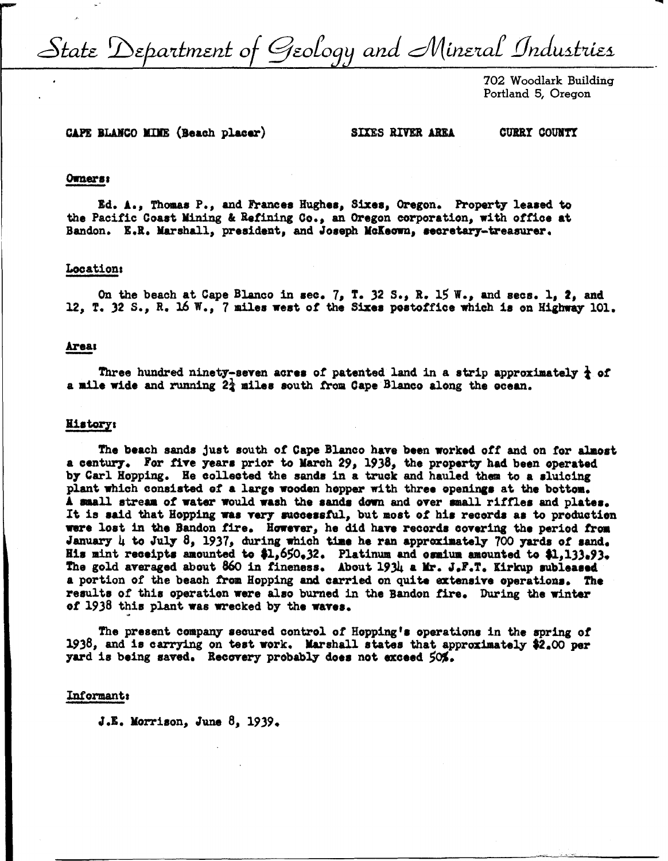State Department of Geology and Mineral Industries

702 Woodlark Building Portland 5, Oregon

# CAPE BLANCO MINE (Beach placer)

**SIXES RIVER AREA** 

**CURRY COUNTY** 

#### Owners:

Ed. A., Thomas P., and Frances Hughes, Sixes, Oregon. Property leased to the Pacific Coast Mining & Refining Co., an Oregon corporation, with office at Bandon. E.R. Marshall, president, and Joseph McKeown, secretary-treasurer.

## Location:

On the beach at Cape Blanco in sec. 7, T. 32 S., R. 15 W., and secs. 1, 2, and 12. T. 32 S., R. 16 W., 7 miles west of the Sixes postoffice which is on Highway 101.

# Areas

Three hundred ninety-seven acres of patented land in a strip approximately  $\frac{1}{2}$  of a mile wide and running 2<sup>1</sup> miles south from Cape Blanco along the ocean.

#### **History:**

The beach sands just south of Cape Blanco have been worked off and on for almost a century. For five years prior to March 29, 1938, the property had been operated by Carl Hopping. He collected the sands in a truck and hauled them to a sluicing plant which consisted of a large wooden hopper with three openings at the bottom. A small stream of water would wash the sands down and over small riffles and plates. It is said that Hopping was very successful, but most of his records as to production were lost in the Bandon fire. However, he did have records covering the period from January 4 to July 8, 1937, during which time he ran approximately 700 yards of sand. His mint receipts amounted to \$1,650.32. Platinum and osmium amounted to \$1,133.93. The gold averaged about 860 in fineness. About 1934 a Mr. J.F.T. Kirkup subleased a portion of the beach from Hopping and carried on quite extensive operations. The results of this operation were also burned in the Bandon fire. During the winter of 1938 this plant was wrecked by the waves.

The present company secured control of Hopping's operations in the spring of 1938, and is carrying on test work. Marshall states that approximately \$2.00 per yard is being saved. Recovery probably does not exceed 50%.

# Informant:

J.E. Morrison, June  $\beta$ , 1939.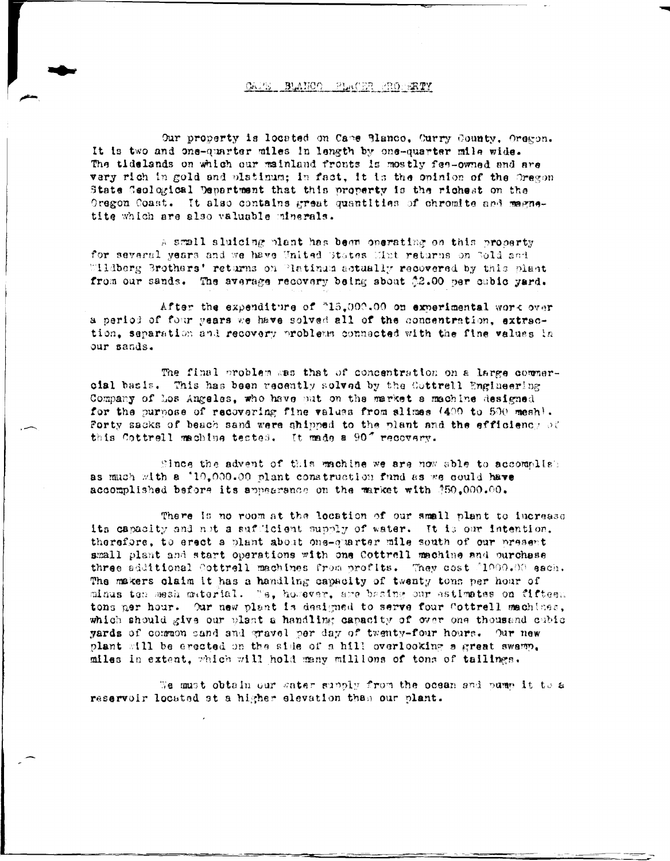#### CAPE BLANCO PLACER PROPERTY

Our property is located on Came Blanco, Curry County, Oregon. It is two and one-quarter miles in length by one-quarter mile wide. The tidelands on which our mainland fronts is mostly fee-owned and are vary rich in gold and platinum; in fact, it is the opinion of the Oregon State Geological Department that this property is the richest on the Oregon Coast. It also contains great quantities of chromite and magnetite which are also valuable minerals.

A small sluicing plant has been operating on this property for several years and we have United States Mint returns on Sold and "Hidberg Brothers' returns on Platinum actually recovered by this plant from our sands. The average recovery being about \$2.00 per cubic yard.

After the expenditure of "15,000.00 on experimental work over a period of four years we have solved all of the concentration, extraction, separation and recovery problems connected with the fine values in our sands.

The final problem was that of concentration on a large commeroial basis. This has been recently solved by the Cottrell Engineering Company of Los Angeles, who have put on the market a machine designed for the purpose of recovering fine values from slimes (400 to 500 mesh). Forty sacks of beach sand were shipped to the plant and the efficiency of this Cottrell machine tested. It made a 90" recovery.

Since the advent of this machine we are now able to accomplish as much with a '10,000.00 plant construction fund as we could have accomplished before its appearance on the market with \$50.000.00.

There is no room at the location of our small plant to increase its capacity and not a sufficient supply of water. It is our intention. therefore, to erect a plant about one-quarter mile south of our present small plant and start operations with one Cottrell machine and ourchase three additional Cottrell machines from profits. They cost [1000.00 each. The makers claim it has a handling capacity of twenty tons per hour of minus ten mesh material. Te, however, are basing our astimates on fifteen tons ner hour. Our new plant is designed to serve four Cottrell machines, which should give our plant a handling capacity of over one thousand cubic yards of common sand and gravel per day of twenty-four hours. Our new plant will be erected on the side of a hill overlooking a great swamp. miles in extent, which will hold many millions of tons of tailings.

We must obtain our gater supply from the ocean and pump it to a reservoir located at a higher elevation than our plant.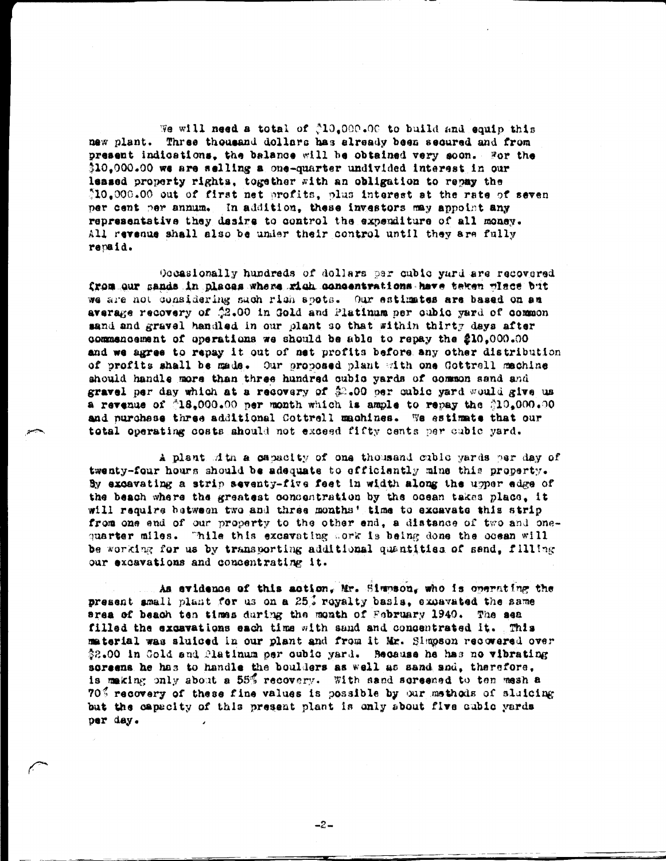We will need a total of \$10.000.00 to build and equip this new plant. Three thousand dollars has already been secured and from present indications, the balance will be obtained very soon. For the \$10.000.00 we are selling a one-quarter undivided interest in our leased property rights, together with an obligation to repay the 10.000.00 out of first net profits, plus interest at the rate of seven per cent per annum. In addition, these investors may appoint any representative they desire to control the expenditure of all money. All revenue shall also be under their control until they are fully repaid.

Occasionally hundreds of dollars par cubic yard are recovered from our sands in places where rich concentrations have taken wince but we are not considering such rich spots. Our estimates are based on an average recovery of \$2.00 in Gold and Platinum per cubic yard of common sand and gravel handled in our plant so that within thirty days after commencement of operations we should be able to repay the 210.000.00 and we agree to repay it out of net profits before any other distribution of profits shall be made. Our proposed plant with one Gottrell machine should handle more than three hundred cubic yards of common sand and gravel per day which at a recovery of \$2.00 per cubic yard would give us a revenue of  $\triangle 18,000.00$  per month which is ample to repay the  $\triangle 10,000.00$ and purchese three additional Cottrell machines. We estimate that our total operating costs ahould not exceed fifty cents per cubic yard.

A plant dith a capacity of one thousand cubic yards per day of twenty-four hours should be adequate to efficiently mine this property. By excavating a strip seventy-five feet in width along the upper edge of the beach where the greatest concentration by the ocean takes place, it will require between two and three months' time to excavate this strip from one end of our property to the other end, a distance of two and onequarter miles. "hile this excavating work is being done the ocean will be working for us by transporting additional quantities of send, filling our excavations and concentrating it.

As evidence of this action. Mr. Simmson, who is operating the present small plant for us on a 25% royalty basis, excavated the same srea of beach ten times during the month of February 1940. The sea filled the excavations each time with sand and concentrated it. This material was sluiced in our plant and from it Mr. Simpson recovered over \$2.00 in Gold and Platinum per oubic yard. Because he has no vibrating screens he has to handle the boulders as well as sand and, therefore, is making only about a 55% recovery. With sand screened to ten mesh a 70% recovery of these fine values is possible by our methods of sluicing but the capacity of this present plant is only about five cubic yards per day.

 $-2-$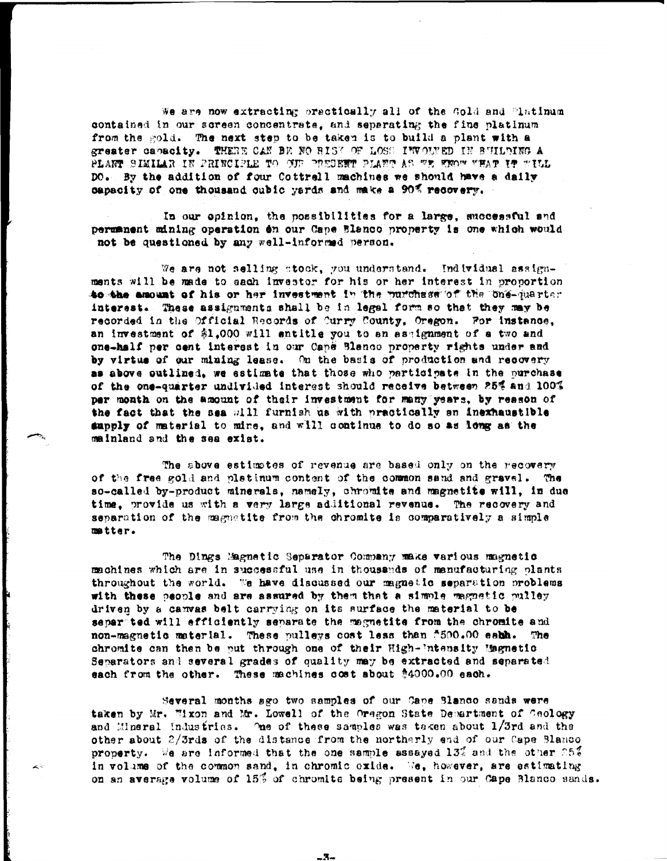We are now extracting practically all of the Gold and "intinum contained in our screen concentrate, and separating the fine platinum from the gold. The next step to be taken is to build a plant with a greater capacity. THERE CAN BE NO RISK OF LOSS INVOUVED IN BUILDING A PLANT SIMILAR IN PRINCIPLE TO OUT PRESENT PLANT AS WE KNOW WHAT IT WILL DO. By the addition of four Cottrell machines we should have a daily capacity of one thousand cubic yards and make a 90% recovery.

In our opinion, the possibilities for a large, successful and permanent mining operation en our Cape Blanco property is one which would not be questioned by any well-informed person.

We are not selling stock, you understand. Individual assignments will be made to sach investor for his or her interest in proportion to the amount of his or her investment in the purchase of the one-quarter interest. These assignments shall be in legal form so that they may be recorded in the Official Records of Curry County, Oregon. For instance, an investment of \$1,000 will entitle you to an assignment of a two and one-half per cent interest in our Cape Blanco property rights under and by virtue of our mining lease. On the basis of production and recovery as above outlined, we estimate that those who participate in the purchase of the one-quarter undivided interest should receive between 25% and 100% per month on the amount of their investment for many years, by reason of the fact that the sea will furnish us with practically an inexhaustible supply of material to mine, and will continue to do so as long as the mainland and the sea exist.

The above estimates of revenue are based only on the recovery of the free gold and pletinum content of the common sand and gravel. The so-called by-product minerals, namely, chromite and magnetite will, in due time, provide us with a very large additional revenue. The recovery and separation of the magnatite from the chromite is comparatively a simple matter.

The Dings Magnetic Separator Company make various magnetic machines which are in successful use in thousands of manufacturing plants throughout the world. We have discussed our magnetic separation problems with these people and are assured by them that a simple magnetic pulley driven by a canvas belt carrying on its surface the material to be separted will efficiently separate the magnetite from the chromite and non-magnetic material. These pulleys cost less than 7500.00 each. The chromite can then be put through one of their High-'ntensity Magnetic Separators and several grades of quality may be extracted and separated each from the other. These machines cost about \$4000.00 each.

Several months ago two samples of our Cape Blanco sands were taken by Mr. Wixon and Mr. Lowell of the Oregon State Department of Geology and Mineral Industries. The of these samples was teken about 1/3rd and the other about 2/3rds of the distance from the northerly end of our Cape Blanco property. We are informed that the one sample assayed 13% and the other 25% in volume of the common sand, in chromic oxide. We, however, are estimating on an average volume of 15% of chromits being present in our Cape Blanco sands.